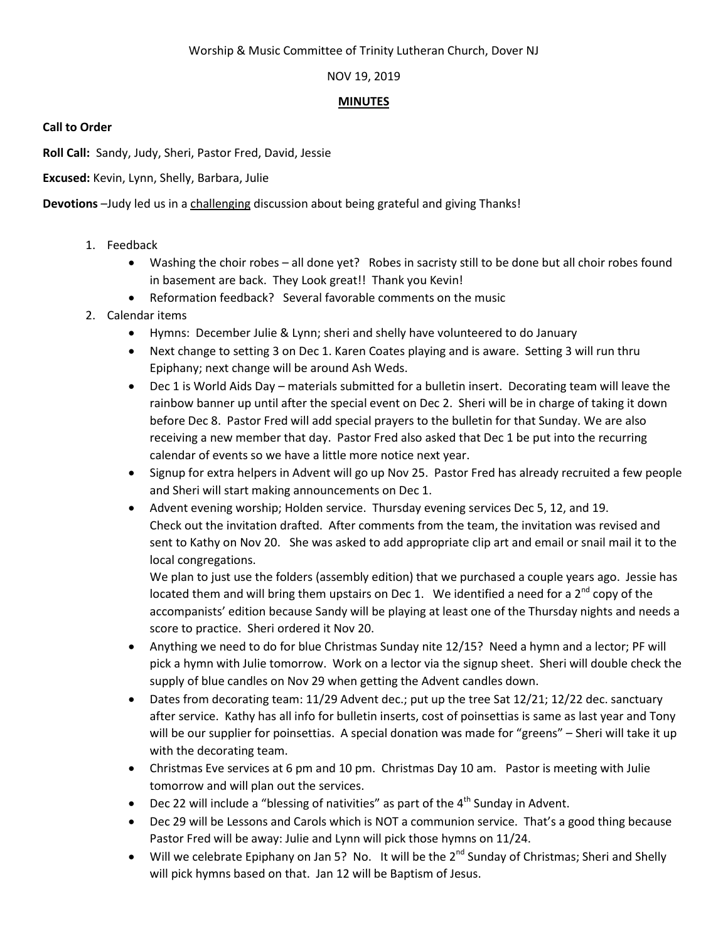### Worship & Music Committee of Trinity Lutheran Church, Dover NJ

## NOV 19, 2019

#### **MINUTES**

**Call to Order**

**Roll Call:** Sandy, Judy, Sheri, Pastor Fred, David, Jessie

**Excused:** Kevin, Lynn, Shelly, Barbara, Julie

**Devotions** –Judy led us in a challenging discussion about being grateful and giving Thanks!

- 1. Feedback
	- Washing the choir robes all done yet? Robes in sacristy still to be done but all choir robes found in basement are back. They Look great!! Thank you Kevin!
	- Reformation feedback? Several favorable comments on the music
- 2. Calendar items
	- Hymns: December Julie & Lynn; sheri and shelly have volunteered to do January
	- Next change to setting 3 on Dec 1. Karen Coates playing and is aware. Setting 3 will run thru Epiphany; next change will be around Ash Weds.
	- Dec 1 is World Aids Day materials submitted for a bulletin insert. Decorating team will leave the rainbow banner up until after the special event on Dec 2. Sheri will be in charge of taking it down before Dec 8. Pastor Fred will add special prayers to the bulletin for that Sunday. We are also receiving a new member that day. Pastor Fred also asked that Dec 1 be put into the recurring calendar of events so we have a little more notice next year.
	- Signup for extra helpers in Advent will go up Nov 25. Pastor Fred has already recruited a few people and Sheri will start making announcements on Dec 1.
	- Advent evening worship; Holden service. Thursday evening services Dec 5, 12, and 19. Check out the invitation drafted. After comments from the team, the invitation was revised and sent to Kathy on Nov 20. She was asked to add appropriate clip art and email or snail mail it to the local congregations.

We plan to just use the folders (assembly edition) that we purchased a couple years ago. Jessie has located them and will bring them upstairs on Dec 1. We identified a need for a  $2^{nd}$  copy of the accompanists' edition because Sandy will be playing at least one of the Thursday nights and needs a score to practice. Sheri ordered it Nov 20.

- Anything we need to do for blue Christmas Sunday nite 12/15? Need a hymn and a lector; PF will pick a hymn with Julie tomorrow. Work on a lector via the signup sheet. Sheri will double check the supply of blue candles on Nov 29 when getting the Advent candles down.
- Dates from decorating team: 11/29 Advent dec.; put up the tree Sat 12/21; 12/22 dec. sanctuary after service. Kathy has all info for bulletin inserts, cost of poinsettias is same as last year and Tony will be our supplier for poinsettias. A special donation was made for "greens" – Sheri will take it up with the decorating team.
- Christmas Eve services at 6 pm and 10 pm. Christmas Day 10 am. Pastor is meeting with Julie tomorrow and will plan out the services.
- Dec 22 will include a "blessing of nativities" as part of the  $4<sup>th</sup>$  Sunday in Advent.
- Dec 29 will be Lessons and Carols which is NOT a communion service. That's a good thing because Pastor Fred will be away: Julie and Lynn will pick those hymns on 11/24.
- Will we celebrate Epiphany on Jan 5? No. It will be the  $2^{nd}$  Sunday of Christmas; Sheri and Shelly will pick hymns based on that. Jan 12 will be Baptism of Jesus.